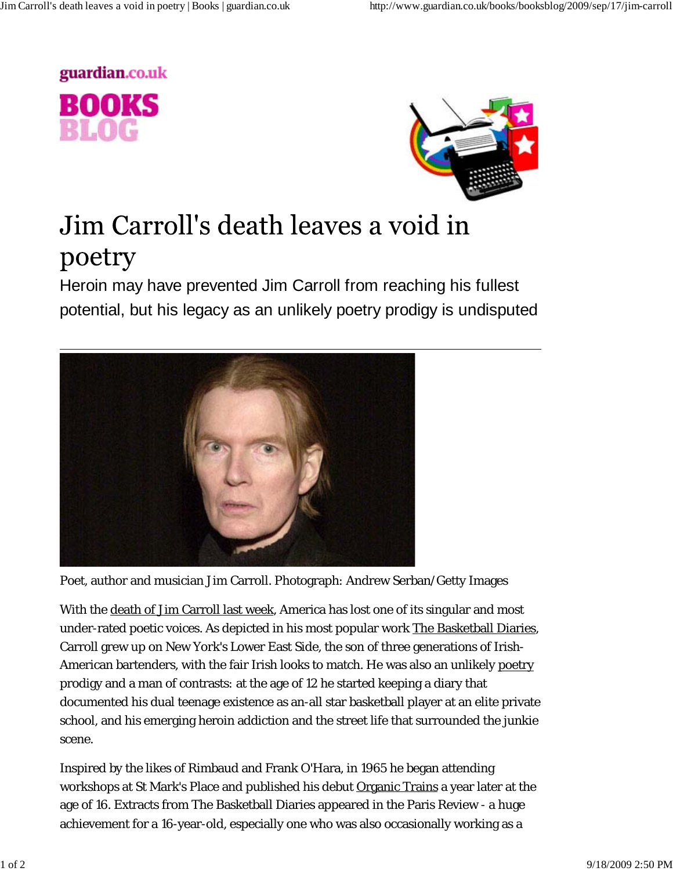



## Jim Carroll's death leaves a void in poetry

Heroin may have prevented Jim Carroll from reaching his fullest potential, but his legacy as an unlikely poetry prodigy is undisputed



Poet, author and musician Jim Carroll. Photograph: Andrew Serban/Getty Images

With the death of Jim Carroll last week, America has lost one of its singular and most under-rated poetic voices. As depicted in his most popular work The Basketball Diaries, Carroll grew up on New York's Lower East Side, the son of three generations of Irish-American bartenders, with the fair Irish looks to match. He was also an unlikely poetry prodigy and a man of contrasts: at the age of 12 he started keeping a diary that documented his dual teenage existence as an-all star basketball player at an elite private school, and his emerging heroin addiction and the street life that surrounded the junkie scene.

Inspired by the likes of Rimbaud and Frank O'Hara, in 1965 he began attending workshops at St Mark's Place and published his debut Organic Trains a year later at the age of 16. Extracts from The Basketball Diaries appeared in the Paris Review - a huge achievement for a 16-year-old, especially one who was also occasionally working as a